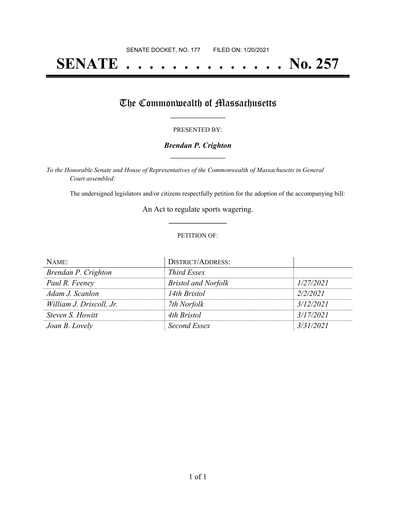# **SENATE . . . . . . . . . . . . . . No. 257**

## The Commonwealth of Massachusetts

#### PRESENTED BY:

#### *Brendan P. Crighton* **\_\_\_\_\_\_\_\_\_\_\_\_\_\_\_\_\_**

*To the Honorable Senate and House of Representatives of the Commonwealth of Massachusetts in General Court assembled:*

The undersigned legislators and/or citizens respectfully petition for the adoption of the accompanying bill:

An Act to regulate sports wagering. **\_\_\_\_\_\_\_\_\_\_\_\_\_\_\_**

#### PETITION OF:

| NAME:                    | <b>DISTRICT/ADDRESS:</b>   |           |
|--------------------------|----------------------------|-----------|
| Brendan P. Crighton      | <b>Third Essex</b>         |           |
| Paul R. Feeney           | <b>Bristol and Norfolk</b> | 1/27/2021 |
| Adam J. Scanlon          | 14th Bristol               | 2/2/2021  |
| William J. Driscoll, Jr. | 7th Norfolk                | 3/12/2021 |
| Steven S. Howitt         | 4th Bristol                | 3/17/2021 |
| Joan B. Lovely           | Second Essex               | 3/31/2021 |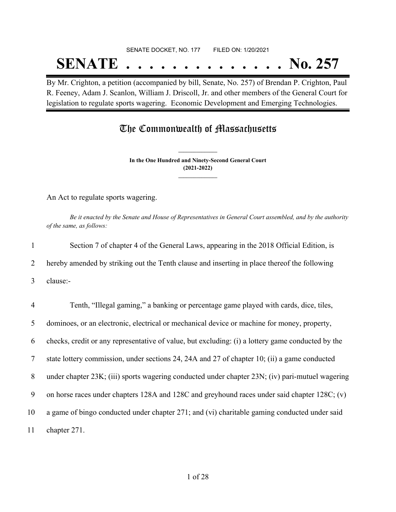# SENATE DOCKET, NO. 177 FILED ON: 1/20/2021 **SENATE . . . . . . . . . . . . . . No. 257**

By Mr. Crighton, a petition (accompanied by bill, Senate, No. 257) of Brendan P. Crighton, Paul R. Feeney, Adam J. Scanlon, William J. Driscoll, Jr. and other members of the General Court for legislation to regulate sports wagering. Economic Development and Emerging Technologies.

### The Commonwealth of Massachusetts

**In the One Hundred and Ninety-Second General Court (2021-2022) \_\_\_\_\_\_\_\_\_\_\_\_\_\_\_**

**\_\_\_\_\_\_\_\_\_\_\_\_\_\_\_**

An Act to regulate sports wagering.

Be it enacted by the Senate and House of Representatives in General Court assembled, and by the authority *of the same, as follows:*

 Section 7 of chapter 4 of the General Laws, appearing in the 2018 Official Edition, is hereby amended by striking out the Tenth clause and inserting in place thereof the following 3 clause:- Tenth, "Illegal gaming," a banking or percentage game played with cards, dice, tiles, dominoes, or an electronic, electrical or mechanical device or machine for money, property, checks, credit or any representative of value, but excluding: (i) a lottery game conducted by the state lottery commission, under sections 24, 24A and 27 of chapter 10; (ii) a game conducted under chapter 23K; (iii) sports wagering conducted under chapter 23N; (iv) pari-mutuel wagering on horse races under chapters 128A and 128C and greyhound races under said chapter 128C; (v) a game of bingo conducted under chapter 271; and (vi) charitable gaming conducted under said chapter 271.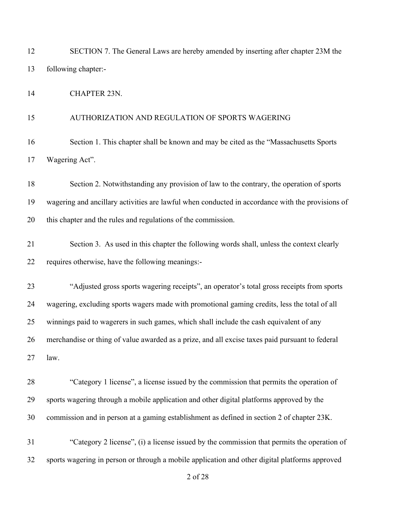| 12 | SECTION 7. The General Laws are hereby amended by inserting after chapter 23M the                |
|----|--------------------------------------------------------------------------------------------------|
| 13 | following chapter:-                                                                              |
| 14 | <b>CHAPTER 23N.</b>                                                                              |
| 15 | AUTHORIZATION AND REGULATION OF SPORTS WAGERING                                                  |
| 16 | Section 1. This chapter shall be known and may be cited as the "Massachusetts Sports             |
| 17 | Wagering Act".                                                                                   |
| 18 | Section 2. Notwithstanding any provision of law to the contrary, the operation of sports         |
| 19 | wagering and ancillary activities are lawful when conducted in accordance with the provisions of |
| 20 | this chapter and the rules and regulations of the commission.                                    |
| 21 | Section 3. As used in this chapter the following words shall, unless the context clearly         |
| 22 | requires otherwise, have the following meanings:-                                                |
| 23 | "Adjusted gross sports wagering receipts", an operator's total gross receipts from sports        |
| 24 | wagering, excluding sports wagers made with promotional gaming credits, less the total of all    |
| 25 | winnings paid to wagerers in such games, which shall include the cash equivalent of any          |
| 26 | merchandise or thing of value awarded as a prize, and all excise taxes paid pursuant to federal  |
| 27 | law.                                                                                             |
| 28 | "Category 1 license", a license issued by the commission that permits the operation of           |
| 29 | sports wagering through a mobile application and other digital platforms approved by the         |
| 30 | commission and in person at a gaming establishment as defined in section 2 of chapter 23K.       |
| 31 | "Category 2 license", (i) a license issued by the commission that permits the operation of       |
| 32 | sports wagering in person or through a mobile application and other digital platforms approved   |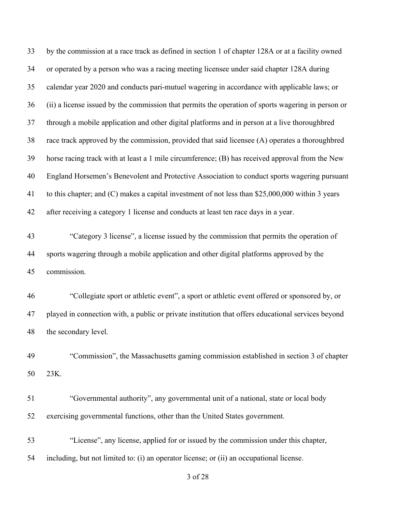by the commission at a race track as defined in section 1 of chapter 128A or at a facility owned or operated by a person who was a racing meeting licensee under said chapter 128A during calendar year 2020 and conducts pari-mutuel wagering in accordance with applicable laws; or (ii) a license issued by the commission that permits the operation of sports wagering in person or through a mobile application and other digital platforms and in person at a live thoroughbred race track approved by the commission, provided that said licensee (A) operates a thoroughbred horse racing track with at least a 1 mile circumference; (B) has received approval from the New England Horsemen's Benevolent and Protective Association to conduct sports wagering pursuant to this chapter; and (C) makes a capital investment of not less than \$25,000,000 within 3 years after receiving a category 1 license and conducts at least ten race days in a year. "Category 3 license", a license issued by the commission that permits the operation of sports wagering through a mobile application and other digital platforms approved by the

commission.

 "Collegiate sport or athletic event", a sport or athletic event offered or sponsored by, or played in connection with, a public or private institution that offers educational services beyond the secondary level.

 "Commission", the Massachusetts gaming commission established in section 3 of chapter 23K.

 "Governmental authority", any governmental unit of a national, state or local body exercising governmental functions, other than the United States government.

 "License", any license, applied for or issued by the commission under this chapter, including, but not limited to: (i) an operator license; or (ii) an occupational license.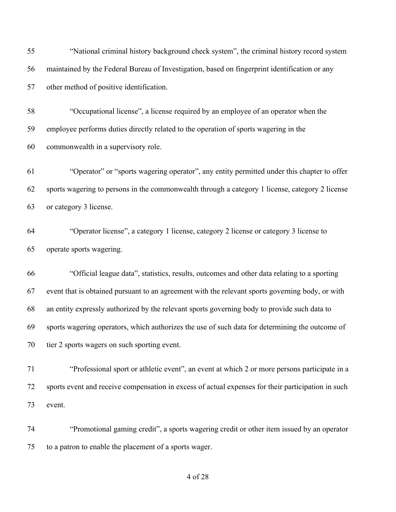| 55 | "National criminal history background check system", the criminal history record system            |
|----|----------------------------------------------------------------------------------------------------|
| 56 | maintained by the Federal Bureau of Investigation, based on fingerprint identification or any      |
| 57 | other method of positive identification.                                                           |
| 58 | "Occupational license", a license required by an employee of an operator when the                  |
| 59 | employee performs duties directly related to the operation of sports wagering in the               |
| 60 | commonwealth in a supervisory role.                                                                |
| 61 | "Operator" or "sports wagering operator", any entity permitted under this chapter to offer         |
| 62 | sports wagering to persons in the commonwealth through a category 1 license, category 2 license    |
| 63 | or category 3 license.                                                                             |
| 64 | "Operator license", a category 1 license, category 2 license or category 3 license to              |
| 65 | operate sports wagering.                                                                           |
| 66 | "Official league data", statistics, results, outcomes and other data relating to a sporting        |
| 67 | event that is obtained pursuant to an agreement with the relevant sports governing body, or with   |
| 68 | an entity expressly authorized by the relevant sports governing body to provide such data to       |
| 69 | sports wagering operators, which authorizes the use of such data for determining the outcome of    |
| 70 | tier 2 sports wagers on such sporting event.                                                       |
| 71 | "Professional sport or athletic event", an event at which 2 or more persons participate in a       |
| 72 | sports event and receive compensation in excess of actual expenses for their participation in such |
| 73 | event.                                                                                             |
| 74 | "Promotional gaming credit", a sports wagering credit or other item issued by an operator          |
| 75 | to a patron to enable the placement of a sports wager.                                             |
|    |                                                                                                    |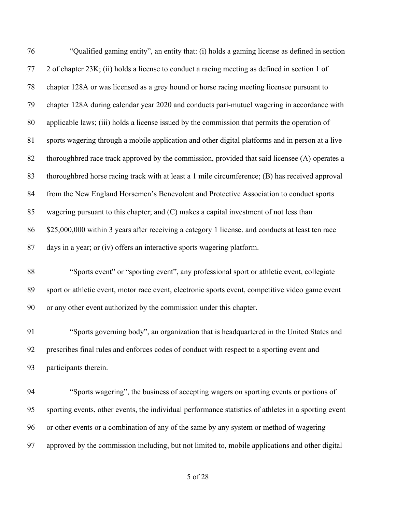| 76 | "Qualified gaming entity", an entity that: (i) holds a gaming license as defined in section          |
|----|------------------------------------------------------------------------------------------------------|
| 77 | 2 of chapter 23K; (ii) holds a license to conduct a racing meeting as defined in section 1 of        |
| 78 | chapter 128A or was licensed as a grey hound or horse racing meeting licensee pursuant to            |
| 79 | chapter 128A during calendar year 2020 and conducts pari-mutuel wagering in accordance with          |
| 80 | applicable laws; (iii) holds a license issued by the commission that permits the operation of        |
| 81 | sports wagering through a mobile application and other digital platforms and in person at a live     |
| 82 | thoroughbred race track approved by the commission, provided that said licensee (A) operates a       |
| 83 | thoroughbred horse racing track with at least a 1 mile circumference; (B) has received approval      |
| 84 | from the New England Horsemen's Benevolent and Protective Association to conduct sports              |
| 85 | wagering pursuant to this chapter; and $(C)$ makes a capital investment of not less than             |
| 86 | \$25,000,000 within 3 years after receiving a category 1 license. and conducts at least ten race     |
| 87 | days in a year; or (iv) offers an interactive sports wagering platform.                              |
| 88 | "Sports event" or "sporting event", any professional sport or athletic event, collegiate             |
| 89 | sport or athletic event, motor race event, electronic sports event, competitive video game event     |
| 90 | or any other event authorized by the commission under this chapter.                                  |
| 91 | "Sports governing body", an organization that is headquartered in the United States and              |
| 92 | prescribes final rules and enforces codes of conduct with respect to a sporting event and            |
| 93 | participants therein.                                                                                |
| 94 | "Sports wagering", the business of accepting wagers on sporting events or portions of                |
| 95 | sporting events, other events, the individual performance statistics of athletes in a sporting event |
| 96 | or other events or a combination of any of the same by any system or method of wagering              |

approved by the commission including, but not limited to, mobile applications and other digital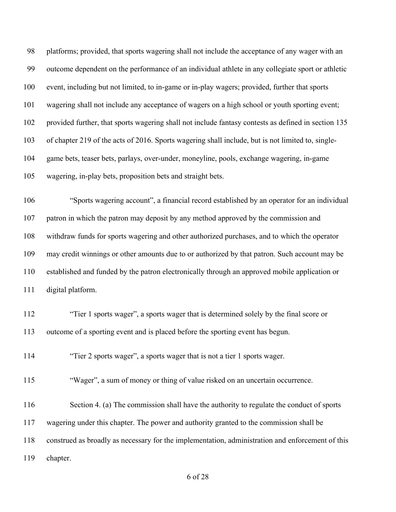platforms; provided, that sports wagering shall not include the acceptance of any wager with an outcome dependent on the performance of an individual athlete in any collegiate sport or athletic event, including but not limited, to in-game or in-play wagers; provided, further that sports wagering shall not include any acceptance of wagers on a high school or youth sporting event; provided further, that sports wagering shall not include fantasy contests as defined in section 135 of chapter 219 of the acts of 2016. Sports wagering shall include, but is not limited to, single- game bets, teaser bets, parlays, over-under, moneyline, pools, exchange wagering, in-game wagering, in-play bets, proposition bets and straight bets.

 "Sports wagering account", a financial record established by an operator for an individual patron in which the patron may deposit by any method approved by the commission and withdraw funds for sports wagering and other authorized purchases, and to which the operator may credit winnings or other amounts due to or authorized by that patron. Such account may be established and funded by the patron electronically through an approved mobile application or digital platform.

 "Tier 1 sports wager", a sports wager that is determined solely by the final score or outcome of a sporting event and is placed before the sporting event has begun.

"Tier 2 sports wager", a sports wager that is not a tier 1 sports wager.

"Wager", a sum of money or thing of value risked on an uncertain occurrence.

116 Section 4. (a) The commission shall have the authority to regulate the conduct of sports wagering under this chapter. The power and authority granted to the commission shall be

construed as broadly as necessary for the implementation, administration and enforcement of this

chapter.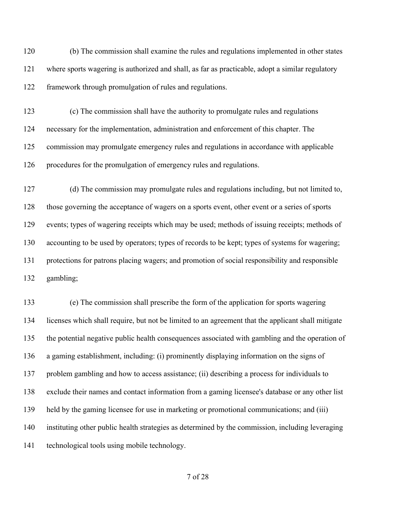(b) The commission shall examine the rules and regulations implemented in other states where sports wagering is authorized and shall, as far as practicable, adopt a similar regulatory framework through promulgation of rules and regulations.

 (c) The commission shall have the authority to promulgate rules and regulations necessary for the implementation, administration and enforcement of this chapter. The commission may promulgate emergency rules and regulations in accordance with applicable procedures for the promulgation of emergency rules and regulations.

 (d) The commission may promulgate rules and regulations including, but not limited to, those governing the acceptance of wagers on a sports event, other event or a series of sports events; types of wagering receipts which may be used; methods of issuing receipts; methods of accounting to be used by operators; types of records to be kept; types of systems for wagering; protections for patrons placing wagers; and promotion of social responsibility and responsible gambling;

 (e) The commission shall prescribe the form of the application for sports wagering licenses which shall require, but not be limited to an agreement that the applicant shall mitigate the potential negative public health consequences associated with gambling and the operation of a gaming establishment, including: (i) prominently displaying information on the signs of problem gambling and how to access assistance; (ii) describing a process for individuals to exclude their names and contact information from a gaming licensee's database or any other list held by the gaming licensee for use in marketing or promotional communications; and (iii) instituting other public health strategies as determined by the commission, including leveraging technological tools using mobile technology.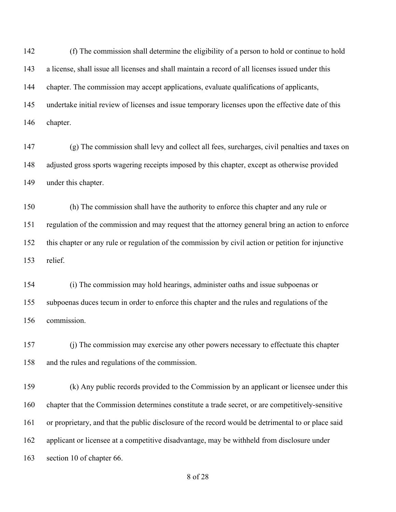(f) The commission shall determine the eligibility of a person to hold or continue to hold a license, shall issue all licenses and shall maintain a record of all licenses issued under this chapter. The commission may accept applications, evaluate qualifications of applicants, undertake initial review of licenses and issue temporary licenses upon the effective date of this chapter.

 (g) The commission shall levy and collect all fees, surcharges, civil penalties and taxes on adjusted gross sports wagering receipts imposed by this chapter, except as otherwise provided under this chapter.

 (h) The commission shall have the authority to enforce this chapter and any rule or regulation of the commission and may request that the attorney general bring an action to enforce this chapter or any rule or regulation of the commission by civil action or petition for injunctive relief.

 (i) The commission may hold hearings, administer oaths and issue subpoenas or subpoenas duces tecum in order to enforce this chapter and the rules and regulations of the commission.

 (j) The commission may exercise any other powers necessary to effectuate this chapter and the rules and regulations of the commission.

 (k) Any public records provided to the Commission by an applicant or licensee under this chapter that the Commission determines constitute a trade secret, or are competitively-sensitive or proprietary, and that the public disclosure of the record would be detrimental to or place said applicant or licensee at a competitive disadvantage, may be withheld from disclosure under section 10 of chapter 66.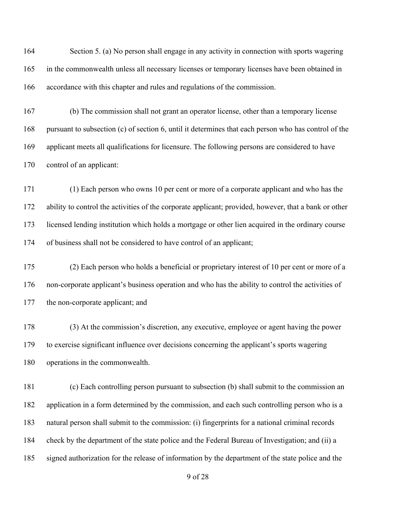Section 5. (a) No person shall engage in any activity in connection with sports wagering in the commonwealth unless all necessary licenses or temporary licenses have been obtained in accordance with this chapter and rules and regulations of the commission.

 (b) The commission shall not grant an operator license, other than a temporary license pursuant to subsection (c) of section 6, until it determines that each person who has control of the applicant meets all qualifications for licensure. The following persons are considered to have control of an applicant:

 (1) Each person who owns 10 per cent or more of a corporate applicant and who has the ability to control the activities of the corporate applicant; provided, however, that a bank or other licensed lending institution which holds a mortgage or other lien acquired in the ordinary course of business shall not be considered to have control of an applicant;

 (2) Each person who holds a beneficial or proprietary interest of 10 per cent or more of a non-corporate applicant's business operation and who has the ability to control the activities of the non-corporate applicant; and

 (3) At the commission's discretion, any executive, employee or agent having the power to exercise significant influence over decisions concerning the applicant's sports wagering operations in the commonwealth.

 (c) Each controlling person pursuant to subsection (b) shall submit to the commission an application in a form determined by the commission, and each such controlling person who is a natural person shall submit to the commission: (i) fingerprints for a national criminal records check by the department of the state police and the Federal Bureau of Investigation; and (ii) a signed authorization for the release of information by the department of the state police and the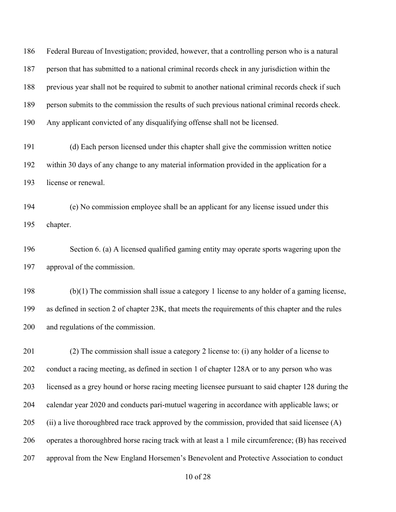Federal Bureau of Investigation; provided, however, that a controlling person who is a natural person that has submitted to a national criminal records check in any jurisdiction within the previous year shall not be required to submit to another national criminal records check if such person submits to the commission the results of such previous national criminal records check. Any applicant convicted of any disqualifying offense shall not be licensed.

 (d) Each person licensed under this chapter shall give the commission written notice within 30 days of any change to any material information provided in the application for a license or renewal.

 (e) No commission employee shall be an applicant for any license issued under this chapter.

 Section 6. (a) A licensed qualified gaming entity may operate sports wagering upon the approval of the commission.

 (b)(1) The commission shall issue a category 1 license to any holder of a gaming license, as defined in section 2 of chapter 23K, that meets the requirements of this chapter and the rules and regulations of the commission.

 (2) The commission shall issue a category 2 license to: (i) any holder of a license to conduct a racing meeting, as defined in section 1 of chapter 128A or to any person who was licensed as a grey hound or horse racing meeting licensee pursuant to said chapter 128 during the calendar year 2020 and conducts pari-mutuel wagering in accordance with applicable laws; or (ii) a live thoroughbred race track approved by the commission, provided that said licensee (A) operates a thoroughbred horse racing track with at least a 1 mile circumference; (B) has received approval from the New England Horsemen's Benevolent and Protective Association to conduct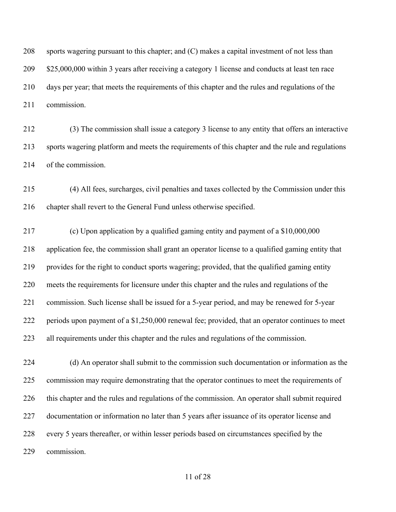sports wagering pursuant to this chapter; and (C) makes a capital investment of not less than 209 \$25,000,000 within 3 years after receiving a category 1 license and conducts at least ten race days per year; that meets the requirements of this chapter and the rules and regulations of the commission.

 (3) The commission shall issue a category 3 license to any entity that offers an interactive sports wagering platform and meets the requirements of this chapter and the rule and regulations of the commission.

 (4) All fees, surcharges, civil penalties and taxes collected by the Commission under this chapter shall revert to the General Fund unless otherwise specified.

 (c) Upon application by a qualified gaming entity and payment of a \$10,000,000 application fee, the commission shall grant an operator license to a qualified gaming entity that provides for the right to conduct sports wagering; provided, that the qualified gaming entity meets the requirements for licensure under this chapter and the rules and regulations of the commission. Such license shall be issued for a 5-year period, and may be renewed for 5-year periods upon payment of a \$1,250,000 renewal fee; provided, that an operator continues to meet all requirements under this chapter and the rules and regulations of the commission.

 (d) An operator shall submit to the commission such documentation or information as the commission may require demonstrating that the operator continues to meet the requirements of this chapter and the rules and regulations of the commission. An operator shall submit required documentation or information no later than 5 years after issuance of its operator license and every 5 years thereafter, or within lesser periods based on circumstances specified by the commission.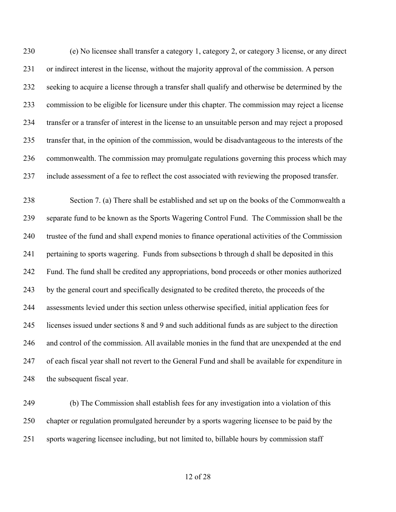(e) No licensee shall transfer a category 1, category 2, or category 3 license, or any direct or indirect interest in the license, without the majority approval of the commission. A person seeking to acquire a license through a transfer shall qualify and otherwise be determined by the commission to be eligible for licensure under this chapter. The commission may reject a license transfer or a transfer of interest in the license to an unsuitable person and may reject a proposed transfer that, in the opinion of the commission, would be disadvantageous to the interests of the commonwealth. The commission may promulgate regulations governing this process which may include assessment of a fee to reflect the cost associated with reviewing the proposed transfer.

 Section 7. (a) There shall be established and set up on the books of the Commonwealth a separate fund to be known as the Sports Wagering Control Fund. The Commission shall be the trustee of the fund and shall expend monies to finance operational activities of the Commission pertaining to sports wagering. Funds from subsections b through d shall be deposited in this Fund. The fund shall be credited any appropriations, bond proceeds or other monies authorized by the general court and specifically designated to be credited thereto, the proceeds of the assessments levied under this section unless otherwise specified, initial application fees for licenses issued under sections 8 and 9 and such additional funds as are subject to the direction and control of the commission. All available monies in the fund that are unexpended at the end of each fiscal year shall not revert to the General Fund and shall be available for expenditure in 248 the subsequent fiscal year.

 (b) The Commission shall establish fees for any investigation into a violation of this chapter or regulation promulgated hereunder by a sports wagering licensee to be paid by the sports wagering licensee including, but not limited to, billable hours by commission staff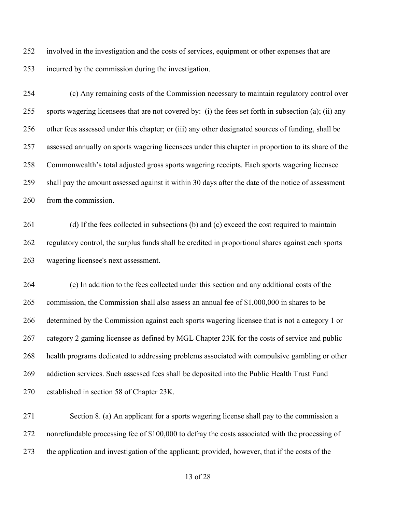involved in the investigation and the costs of services, equipment or other expenses that are incurred by the commission during the investigation.

 (c) Any remaining costs of the Commission necessary to maintain regulatory control over sports wagering licensees that are not covered by: (i) the fees set forth in subsection (a); (ii) any other fees assessed under this chapter; or (iii) any other designated sources of funding, shall be assessed annually on sports wagering licensees under this chapter in proportion to its share of the Commonwealth's total adjusted gross sports wagering receipts. Each sports wagering licensee shall pay the amount assessed against it within 30 days after the date of the notice of assessment from the commission.

261 (d) If the fees collected in subsections (b) and (c) exceed the cost required to maintain regulatory control, the surplus funds shall be credited in proportional shares against each sports wagering licensee's next assessment.

 (e) In addition to the fees collected under this section and any additional costs of the commission, the Commission shall also assess an annual fee of \$1,000,000 in shares to be determined by the Commission against each sports wagering licensee that is not a category 1 or category 2 gaming licensee as defined by MGL Chapter 23K for the costs of service and public health programs dedicated to addressing problems associated with compulsive gambling or other addiction services. Such assessed fees shall be deposited into the Public Health Trust Fund established in section 58 of Chapter 23K.

 Section 8. (a) An applicant for a sports wagering license shall pay to the commission a nonrefundable processing fee of \$100,000 to defray the costs associated with the processing of the application and investigation of the applicant; provided, however, that if the costs of the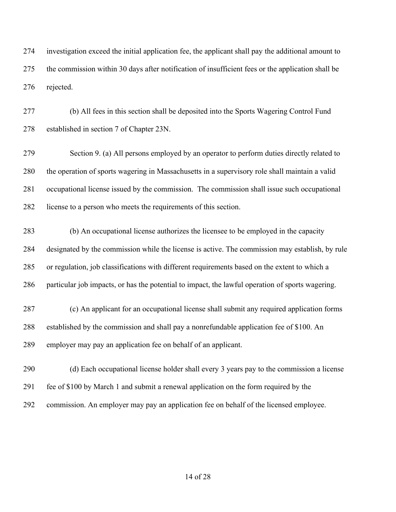investigation exceed the initial application fee, the applicant shall pay the additional amount to the commission within 30 days after notification of insufficient fees or the application shall be rejected.

 (b) All fees in this section shall be deposited into the Sports Wagering Control Fund established in section 7 of Chapter 23N.

 Section 9. (a) All persons employed by an operator to perform duties directly related to the operation of sports wagering in Massachusetts in a supervisory role shall maintain a valid occupational license issued by the commission. The commission shall issue such occupational license to a person who meets the requirements of this section.

 (b) An occupational license authorizes the licensee to be employed in the capacity designated by the commission while the license is active. The commission may establish, by rule or regulation, job classifications with different requirements based on the extent to which a particular job impacts, or has the potential to impact, the lawful operation of sports wagering.

 (c) An applicant for an occupational license shall submit any required application forms established by the commission and shall pay a nonrefundable application fee of \$100. An employer may pay an application fee on behalf of an applicant.

 (d) Each occupational license holder shall every 3 years pay to the commission a license fee of \$100 by March 1 and submit a renewal application on the form required by the commission. An employer may pay an application fee on behalf of the licensed employee.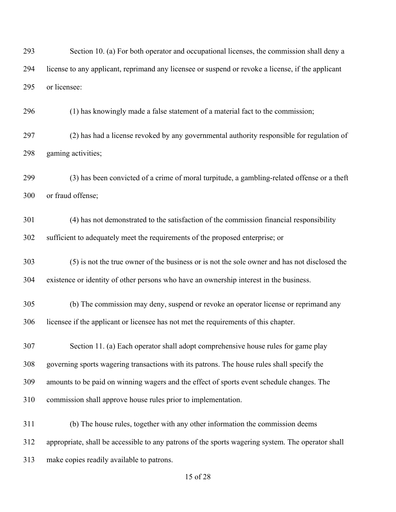Section 10. (a) For both operator and occupational licenses, the commission shall deny a license to any applicant, reprimand any licensee or suspend or revoke a license, if the applicant or licensee:

(1) has knowingly made a false statement of a material fact to the commission;

 (2) has had a license revoked by any governmental authority responsible for regulation of gaming activities;

 (3) has been convicted of a crime of moral turpitude, a gambling-related offense or a theft or fraud offense;

 (4) has not demonstrated to the satisfaction of the commission financial responsibility sufficient to adequately meet the requirements of the proposed enterprise; or

 (5) is not the true owner of the business or is not the sole owner and has not disclosed the existence or identity of other persons who have an ownership interest in the business.

 (b) The commission may deny, suspend or revoke an operator license or reprimand any licensee if the applicant or licensee has not met the requirements of this chapter.

 Section 11. (a) Each operator shall adopt comprehensive house rules for game play governing sports wagering transactions with its patrons. The house rules shall specify the amounts to be paid on winning wagers and the effect of sports event schedule changes. The commission shall approve house rules prior to implementation.

 (b) The house rules, together with any other information the commission deems appropriate, shall be accessible to any patrons of the sports wagering system. The operator shall make copies readily available to patrons.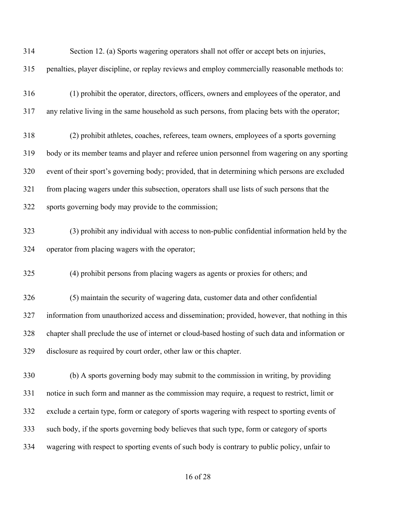| 314 | Section 12. (a) Sports wagering operators shall not offer or accept bets on injuries,             |
|-----|---------------------------------------------------------------------------------------------------|
| 315 | penalties, player discipline, or replay reviews and employ commercially reasonable methods to:    |
| 316 | (1) prohibit the operator, directors, officers, owners and employees of the operator, and         |
| 317 | any relative living in the same household as such persons, from placing bets with the operator;   |
| 318 | (2) prohibit athletes, coaches, referees, team owners, employees of a sports governing            |
| 319 | body or its member teams and player and referee union personnel from wagering on any sporting     |
| 320 | event of their sport's governing body; provided, that in determining which persons are excluded   |
| 321 | from placing wagers under this subsection, operators shall use lists of such persons that the     |
| 322 | sports governing body may provide to the commission;                                              |
| 323 | (3) prohibit any individual with access to non-public confidential information held by the        |
| 324 | operator from placing wagers with the operator;                                                   |
| 325 | (4) prohibit persons from placing wagers as agents or proxies for others; and                     |
| 326 | (5) maintain the security of wagering data, customer data and other confidential                  |
| 327 | information from unauthorized access and dissemination; provided, however, that nothing in this   |
| 328 | chapter shall preclude the use of internet or cloud-based hosting of such data and information or |
| 329 | disclosure as required by court order, other law or this chapter.                                 |
| 330 | (b) A sports governing body may submit to the commission in writing, by providing                 |
| 331 | notice in such form and manner as the commission may require, a request to restrict, limit or     |
| 332 | exclude a certain type, form or category of sports wagering with respect to sporting events of    |
| 333 | such body, if the sports governing body believes that such type, form or category of sports       |
| 334 | wagering with respect to sporting events of such body is contrary to public policy, unfair to     |
|     |                                                                                                   |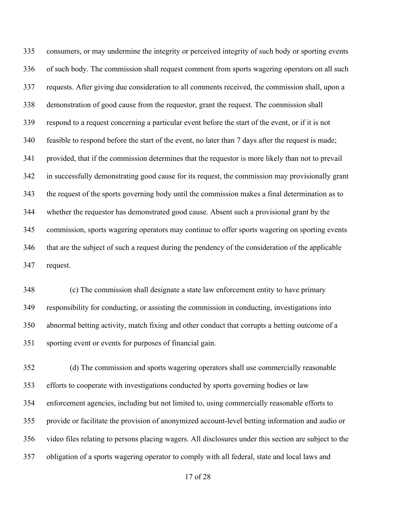consumers, or may undermine the integrity or perceived integrity of such body or sporting events of such body. The commission shall request comment from sports wagering operators on all such requests. After giving due consideration to all comments received, the commission shall, upon a demonstration of good cause from the requestor, grant the request. The commission shall respond to a request concerning a particular event before the start of the event, or if it is not feasible to respond before the start of the event, no later than 7 days after the request is made; provided, that if the commission determines that the requestor is more likely than not to prevail in successfully demonstrating good cause for its request, the commission may provisionally grant the request of the sports governing body until the commission makes a final determination as to whether the requestor has demonstrated good cause. Absent such a provisional grant by the commission, sports wagering operators may continue to offer sports wagering on sporting events that are the subject of such a request during the pendency of the consideration of the applicable request.

 (c) The commission shall designate a state law enforcement entity to have primary responsibility for conducting, or assisting the commission in conducting, investigations into abnormal betting activity, match fixing and other conduct that corrupts a betting outcome of a sporting event or events for purposes of financial gain.

 (d) The commission and sports wagering operators shall use commercially reasonable efforts to cooperate with investigations conducted by sports governing bodies or law enforcement agencies, including but not limited to, using commercially reasonable efforts to provide or facilitate the provision of anonymized account-level betting information and audio or video files relating to persons placing wagers. All disclosures under this section are subject to the obligation of a sports wagering operator to comply with all federal, state and local laws and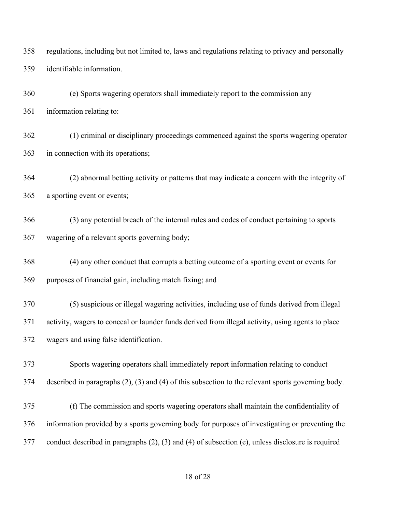regulations, including but not limited to, laws and regulations relating to privacy and personally identifiable information.

 (e) Sports wagering operators shall immediately report to the commission any information relating to:

 (1) criminal or disciplinary proceedings commenced against the sports wagering operator in connection with its operations;

 (2) abnormal betting activity or patterns that may indicate a concern with the integrity of a sporting event or events;

 (3) any potential breach of the internal rules and codes of conduct pertaining to sports wagering of a relevant sports governing body;

 (4) any other conduct that corrupts a betting outcome of a sporting event or events for purposes of financial gain, including match fixing; and

 (5) suspicious or illegal wagering activities, including use of funds derived from illegal activity, wagers to conceal or launder funds derived from illegal activity, using agents to place wagers and using false identification.

 Sports wagering operators shall immediately report information relating to conduct described in paragraphs (2), (3) and (4) of this subsection to the relevant sports governing body.

 (f) The commission and sports wagering operators shall maintain the confidentiality of information provided by a sports governing body for purposes of investigating or preventing the conduct described in paragraphs (2), (3) and (4) of subsection (e), unless disclosure is required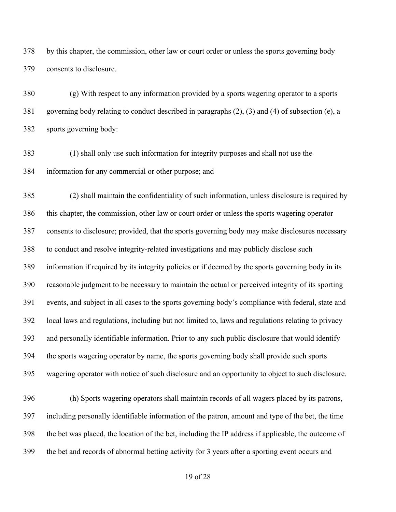by this chapter, the commission, other law or court order or unless the sports governing body consents to disclosure.

 (g) With respect to any information provided by a sports wagering operator to a sports governing body relating to conduct described in paragraphs (2), (3) and (4) of subsection (e), a sports governing body:

 (1) shall only use such information for integrity purposes and shall not use the information for any commercial or other purpose; and

 (2) shall maintain the confidentiality of such information, unless disclosure is required by this chapter, the commission, other law or court order or unless the sports wagering operator consents to disclosure; provided, that the sports governing body may make disclosures necessary to conduct and resolve integrity-related investigations and may publicly disclose such information if required by its integrity policies or if deemed by the sports governing body in its reasonable judgment to be necessary to maintain the actual or perceived integrity of its sporting events, and subject in all cases to the sports governing body's compliance with federal, state and local laws and regulations, including but not limited to, laws and regulations relating to privacy and personally identifiable information. Prior to any such public disclosure that would identify the sports wagering operator by name, the sports governing body shall provide such sports wagering operator with notice of such disclosure and an opportunity to object to such disclosure.

 (h) Sports wagering operators shall maintain records of all wagers placed by its patrons, including personally identifiable information of the patron, amount and type of the bet, the time the bet was placed, the location of the bet, including the IP address if applicable, the outcome of the bet and records of abnormal betting activity for 3 years after a sporting event occurs and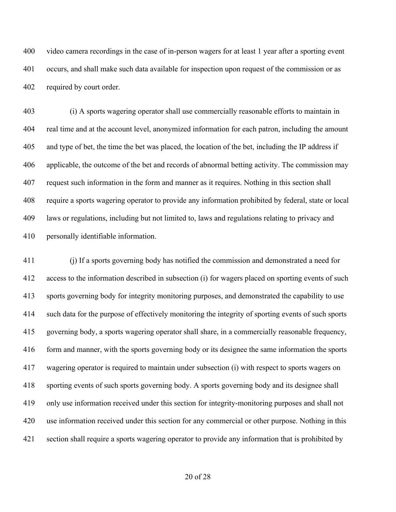video camera recordings in the case of in-person wagers for at least 1 year after a sporting event occurs, and shall make such data available for inspection upon request of the commission or as required by court order.

 (i) A sports wagering operator shall use commercially reasonable efforts to maintain in real time and at the account level, anonymized information for each patron, including the amount and type of bet, the time the bet was placed, the location of the bet, including the IP address if applicable, the outcome of the bet and records of abnormal betting activity. The commission may request such information in the form and manner as it requires. Nothing in this section shall require a sports wagering operator to provide any information prohibited by federal, state or local laws or regulations, including but not limited to, laws and regulations relating to privacy and personally identifiable information.

 (j) If a sports governing body has notified the commission and demonstrated a need for access to the information described in subsection (i) for wagers placed on sporting events of such sports governing body for integrity monitoring purposes, and demonstrated the capability to use such data for the purpose of effectively monitoring the integrity of sporting events of such sports governing body, a sports wagering operator shall share, in a commercially reasonable frequency, form and manner, with the sports governing body or its designee the same information the sports wagering operator is required to maintain under subsection (i) with respect to sports wagers on sporting events of such sports governing body. A sports governing body and its designee shall only use information received under this section for integrity-monitoring purposes and shall not use information received under this section for any commercial or other purpose. Nothing in this section shall require a sports wagering operator to provide any information that is prohibited by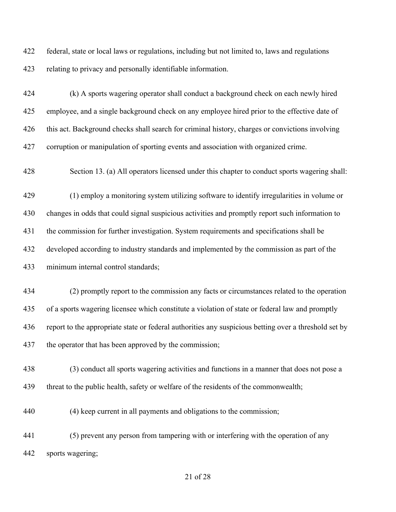federal, state or local laws or regulations, including but not limited to, laws and regulations relating to privacy and personally identifiable information.

 (k) A sports wagering operator shall conduct a background check on each newly hired employee, and a single background check on any employee hired prior to the effective date of this act. Background checks shall search for criminal history, charges or convictions involving corruption or manipulation of sporting events and association with organized crime.

Section 13. (a) All operators licensed under this chapter to conduct sports wagering shall:

 (1) employ a monitoring system utilizing software to identify irregularities in volume or changes in odds that could signal suspicious activities and promptly report such information to the commission for further investigation. System requirements and specifications shall be developed according to industry standards and implemented by the commission as part of the minimum internal control standards;

 (2) promptly report to the commission any facts or circumstances related to the operation of a sports wagering licensee which constitute a violation of state or federal law and promptly report to the appropriate state or federal authorities any suspicious betting over a threshold set by the operator that has been approved by the commission;

 (3) conduct all sports wagering activities and functions in a manner that does not pose a threat to the public health, safety or welfare of the residents of the commonwealth;

(4) keep current in all payments and obligations to the commission;

 (5) prevent any person from tampering with or interfering with the operation of any sports wagering;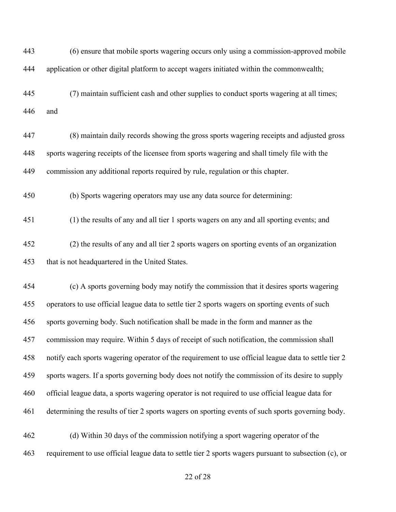(6) ensure that mobile sports wagering occurs only using a commission-approved mobile application or other digital platform to accept wagers initiated within the commonwealth;

 (7) maintain sufficient cash and other supplies to conduct sports wagering at all times; and

 (8) maintain daily records showing the gross sports wagering receipts and adjusted gross sports wagering receipts of the licensee from sports wagering and shall timely file with the commission any additional reports required by rule, regulation or this chapter.

(b) Sports wagering operators may use any data source for determining:

(1) the results of any and all tier 1 sports wagers on any and all sporting events; and

 (2) the results of any and all tier 2 sports wagers on sporting events of an organization that is not headquartered in the United States.

 (c) A sports governing body may notify the commission that it desires sports wagering operators to use official league data to settle tier 2 sports wagers on sporting events of such sports governing body. Such notification shall be made in the form and manner as the commission may require. Within 5 days of receipt of such notification, the commission shall notify each sports wagering operator of the requirement to use official league data to settle tier 2 sports wagers. If a sports governing body does not notify the commission of its desire to supply official league data, a sports wagering operator is not required to use official league data for determining the results of tier 2 sports wagers on sporting events of such sports governing body.

 (d) Within 30 days of the commission notifying a sport wagering operator of the requirement to use official league data to settle tier 2 sports wagers pursuant to subsection (c), or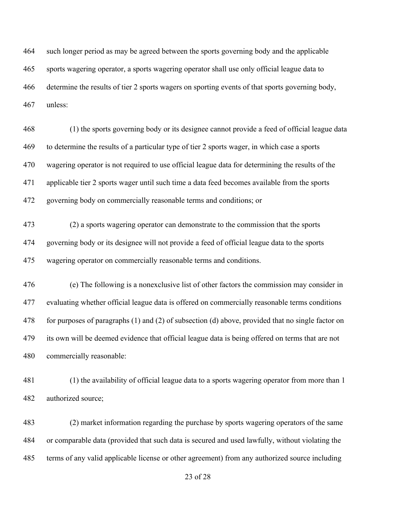such longer period as may be agreed between the sports governing body and the applicable sports wagering operator, a sports wagering operator shall use only official league data to determine the results of tier 2 sports wagers on sporting events of that sports governing body, unless:

 (1) the sports governing body or its designee cannot provide a feed of official league data to determine the results of a particular type of tier 2 sports wager, in which case a sports wagering operator is not required to use official league data for determining the results of the applicable tier 2 sports wager until such time a data feed becomes available from the sports governing body on commercially reasonable terms and conditions; or

 (2) a sports wagering operator can demonstrate to the commission that the sports governing body or its designee will not provide a feed of official league data to the sports wagering operator on commercially reasonable terms and conditions.

 (e) The following is a nonexclusive list of other factors the commission may consider in evaluating whether official league data is offered on commercially reasonable terms conditions for purposes of paragraphs (1) and (2) of subsection (d) above, provided that no single factor on its own will be deemed evidence that official league data is being offered on terms that are not commercially reasonable:

 (1) the availability of official league data to a sports wagering operator from more than 1 authorized source;

 (2) market information regarding the purchase by sports wagering operators of the same or comparable data (provided that such data is secured and used lawfully, without violating the terms of any valid applicable license or other agreement) from any authorized source including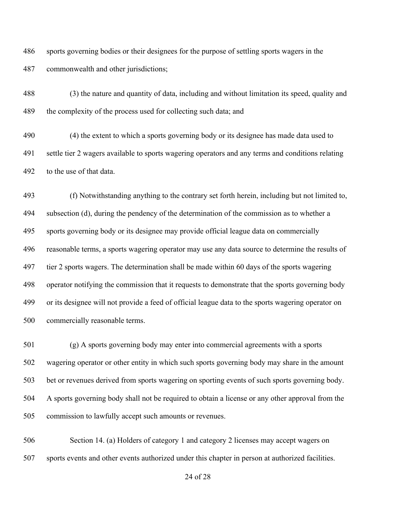sports governing bodies or their designees for the purpose of settling sports wagers in the commonwealth and other jurisdictions;

 (3) the nature and quantity of data, including and without limitation its speed, quality and 489 the complexity of the process used for collecting such data; and

 (4) the extent to which a sports governing body or its designee has made data used to settle tier 2 wagers available to sports wagering operators and any terms and conditions relating to the use of that data.

 (f) Notwithstanding anything to the contrary set forth herein, including but not limited to, subsection (d), during the pendency of the determination of the commission as to whether a sports governing body or its designee may provide official league data on commercially reasonable terms, a sports wagering operator may use any data source to determine the results of tier 2 sports wagers. The determination shall be made within 60 days of the sports wagering operator notifying the commission that it requests to demonstrate that the sports governing body or its designee will not provide a feed of official league data to the sports wagering operator on commercially reasonable terms.

 (g) A sports governing body may enter into commercial agreements with a sports wagering operator or other entity in which such sports governing body may share in the amount bet or revenues derived from sports wagering on sporting events of such sports governing body. A sports governing body shall not be required to obtain a license or any other approval from the commission to lawfully accept such amounts or revenues.

 Section 14. (a) Holders of category 1 and category 2 licenses may accept wagers on sports events and other events authorized under this chapter in person at authorized facilities.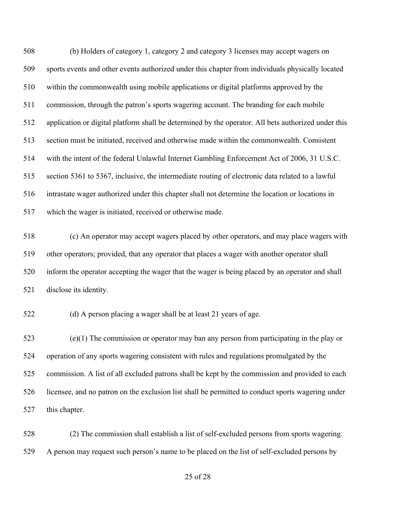(b) Holders of category 1, category 2 and category 3 licenses may accept wagers on sports events and other events authorized under this chapter from individuals physically located within the commonwealth using mobile applications or digital platforms approved by the commission, through the patron's sports wagering account. The branding for each mobile application or digital platform shall be determined by the operator. All bets authorized under this section must be initiated, received and otherwise made within the commonwealth. Consistent with the intent of the federal Unlawful Internet Gambling Enforcement Act of 2006, 31 U.S.C. section 5361 to 5367, inclusive, the intermediate routing of electronic data related to a lawful intrastate wager authorized under this chapter shall not determine the location or locations in which the wager is initiated, received or otherwise made.

 (c) An operator may accept wagers placed by other operators, and may place wagers with other operators; provided, that any operator that places a wager with another operator shall inform the operator accepting the wager that the wager is being placed by an operator and shall disclose its identity.

(d) A person placing a wager shall be at least 21 years of age.

 (e)(1) The commission or operator may ban any person from participating in the play or operation of any sports wagering consistent with rules and regulations promulgated by the commission. A list of all excluded patrons shall be kept by the commission and provided to each licensee, and no patron on the exclusion list shall be permitted to conduct sports wagering under this chapter.

 (2) The commission shall establish a list of self-excluded persons from sports wagering. A person may request such person's name to be placed on the list of self-excluded persons by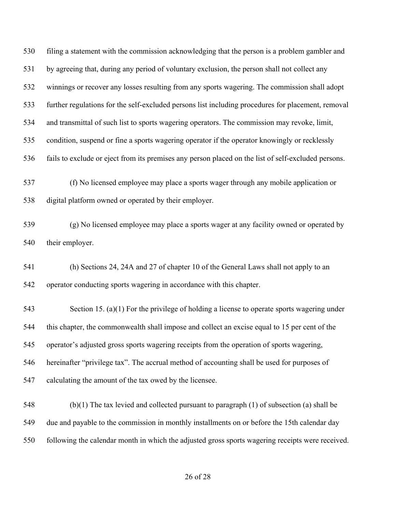filing a statement with the commission acknowledging that the person is a problem gambler and by agreeing that, during any period of voluntary exclusion, the person shall not collect any winnings or recover any losses resulting from any sports wagering. The commission shall adopt further regulations for the self-excluded persons list including procedures for placement, removal and transmittal of such list to sports wagering operators. The commission may revoke, limit, condition, suspend or fine a sports wagering operator if the operator knowingly or recklessly fails to exclude or eject from its premises any person placed on the list of self-excluded persons.

 (f) No licensed employee may place a sports wager through any mobile application or digital platform owned or operated by their employer.

 (g) No licensed employee may place a sports wager at any facility owned or operated by their employer.

 (h) Sections 24, 24A and 27 of chapter 10 of the General Laws shall not apply to an operator conducting sports wagering in accordance with this chapter.

 Section 15. (a)(1) For the privilege of holding a license to operate sports wagering under this chapter, the commonwealth shall impose and collect an excise equal to 15 per cent of the operator's adjusted gross sports wagering receipts from the operation of sports wagering, hereinafter "privilege tax". The accrual method of accounting shall be used for purposes of calculating the amount of the tax owed by the licensee.

 (b)(1) The tax levied and collected pursuant to paragraph (1) of subsection (a) shall be due and payable to the commission in monthly installments on or before the 15th calendar day following the calendar month in which the adjusted gross sports wagering receipts were received.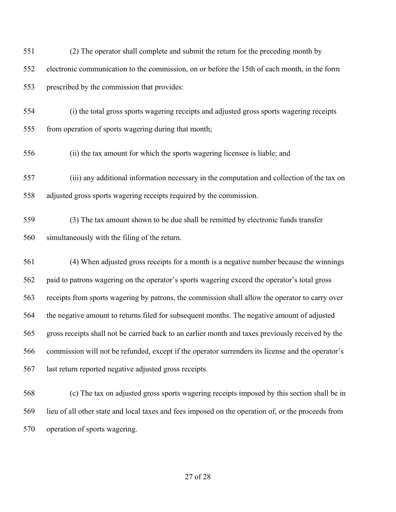| 551 | (2) The operator shall complete and submit the return for the preceding month by                   |
|-----|----------------------------------------------------------------------------------------------------|
| 552 | electronic communication to the commission, on or before the 15th of each month, in the form       |
| 553 | prescribed by the commission that provides:                                                        |
| 554 | (i) the total gross sports wagering receipts and adjusted gross sports wagering receipts           |
| 555 | from operation of sports wagering during that month;                                               |
| 556 | (ii) the tax amount for which the sports wagering licensee is liable; and                          |
| 557 | (iii) any additional information necessary in the computation and collection of the tax on         |
| 558 | adjusted gross sports wagering receipts required by the commission.                                |
| 559 | (3) The tax amount shown to be due shall be remitted by electronic funds transfer                  |
| 560 | simultaneously with the filing of the return.                                                      |
| 561 | (4) When adjusted gross receipts for a month is a negative number because the winnings             |
| 562 | paid to patrons wagering on the operator's sports wagering exceed the operator's total gross       |
| 563 | receipts from sports wagering by patrons, the commission shall allow the operator to carry over    |
| 564 | the negative amount to returns filed for subsequent months. The negative amount of adjusted        |
| 565 | gross receipts shall not be carried back to an earlier month and taxes previously received by the  |
| 566 | commission will not be refunded, except if the operator surrenders its license and the operator's  |
| 567 | last return reported negative adjusted gross receipts.                                             |
| 568 | (c) The tax on adjusted gross sports wagering receipts imposed by this section shall be in         |
| 569 | lieu of all other state and local taxes and fees imposed on the operation of, or the proceeds from |

operation of sports wagering.